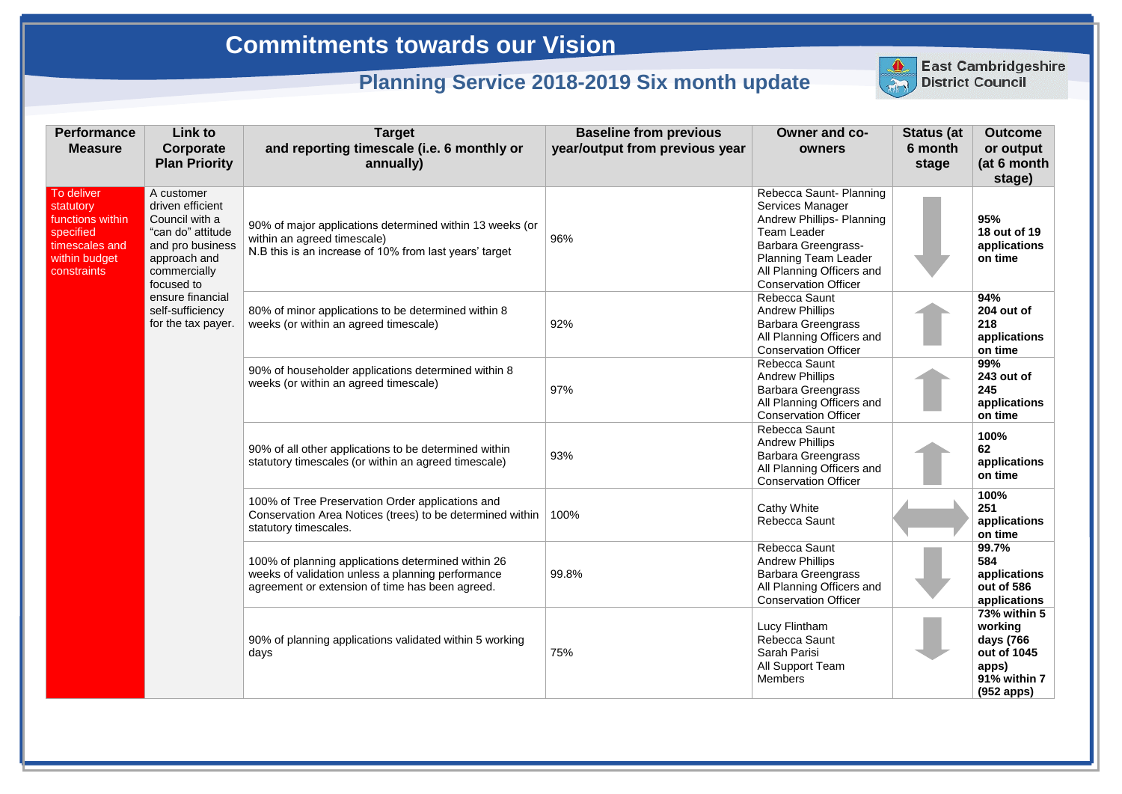| <b>Performance</b><br><b>Measure</b>                                                                       | <b>Link to</b><br>Corporate<br><b>Plan Priority</b>                                                                                                                                                   | <b>Target</b><br>and reporting timescale (i.e. 6 monthly or<br>annually)                                                                                   | <b>Baseline from previous</b><br>year/output from previous year | <b>Owner and co-</b><br>owners                                                                                                                                                                                                        | <b>Status (at</b><br>6 month<br>stage | <b>Outcome</b><br>or output<br>(at 6 month<br>stage)                                       |
|------------------------------------------------------------------------------------------------------------|-------------------------------------------------------------------------------------------------------------------------------------------------------------------------------------------------------|------------------------------------------------------------------------------------------------------------------------------------------------------------|-----------------------------------------------------------------|---------------------------------------------------------------------------------------------------------------------------------------------------------------------------------------------------------------------------------------|---------------------------------------|--------------------------------------------------------------------------------------------|
| To deliver<br>statutory<br>functions within<br>specified<br>timescales and<br>within budget<br>constraints | A customer<br>driven efficient<br>Council with a<br>"can do" attitude<br>and pro business<br>approach and<br>commercially<br>focused to<br>ensure financial<br>self-sufficiency<br>for the tax payer. | 90% of major applications determined within 13 weeks (or<br>within an agreed timescale)<br>N.B this is an increase of 10% from last years' target          | 96%                                                             | Rebecca Saunt- Planning<br><b>Services Manager</b><br><b>Andrew Phillips- Planning</b><br><b>Team Leader</b><br><b>Barbara Greengrass-</b><br><b>Planning Team Leader</b><br>All Planning Officers and<br><b>Conservation Officer</b> |                                       | 95%<br>18 out of 19<br>applications<br>on time                                             |
|                                                                                                            |                                                                                                                                                                                                       | 80% of minor applications to be determined within 8<br>weeks (or within an agreed timescale)                                                               | 92%                                                             | Rebecca Saunt<br><b>Andrew Phillips</b><br><b>Barbara Greengrass</b><br>All Planning Officers and<br><b>Conservation Officer</b>                                                                                                      |                                       | 94%<br>204 out of<br>218<br>applications<br>on time                                        |
|                                                                                                            |                                                                                                                                                                                                       | 90% of householder applications determined within 8<br>weeks (or within an agreed timescale)                                                               | 97%                                                             | Rebecca Saunt<br><b>Andrew Phillips</b><br><b>Barbara Greengrass</b><br>All Planning Officers and<br><b>Conservation Officer</b>                                                                                                      |                                       | 99%<br>243 out of<br>245<br>applications<br>on time                                        |
|                                                                                                            |                                                                                                                                                                                                       | 90% of all other applications to be determined within<br>statutory timescales (or within an agreed timescale)                                              | 93%                                                             | Rebecca Saunt<br><b>Andrew Phillips</b><br><b>Barbara Greengrass</b><br>All Planning Officers and<br><b>Conservation Officer</b>                                                                                                      |                                       | 100%<br>62<br>applications<br>on time                                                      |
|                                                                                                            |                                                                                                                                                                                                       | 100% of Tree Preservation Order applications and<br>Conservation Area Notices (trees) to be determined within<br>statutory timescales.                     | 100%                                                            | <b>Cathy White</b><br>Rebecca Saunt                                                                                                                                                                                                   |                                       | 100%<br>251<br>applications<br>on time                                                     |
|                                                                                                            |                                                                                                                                                                                                       | 100% of planning applications determined within 26<br>weeks of validation unless a planning performance<br>agreement or extension of time has been agreed. | 99.8%                                                           | Rebecca Saunt<br><b>Andrew Phillips</b><br><b>Barbara Greengrass</b><br>All Planning Officers and<br><b>Conservation Officer</b>                                                                                                      |                                       | 99.7%<br>584<br>applications<br>out of 586<br>applications                                 |
|                                                                                                            |                                                                                                                                                                                                       | 90% of planning applications validated within 5 working<br>days                                                                                            | 75%                                                             | Lucy Flintham<br>Rebecca Saunt<br>Sarah Parisi<br>All Support Team<br><b>Members</b>                                                                                                                                                  |                                       | 73% within 5<br>working<br>days (766<br>out of 1045<br>apps)<br>91% within 7<br>(952 apps) |



East Cambridgeshire<br>District Council

## **Commitments towards our Vision**

## **Planning Service 2018-2019 Six month update**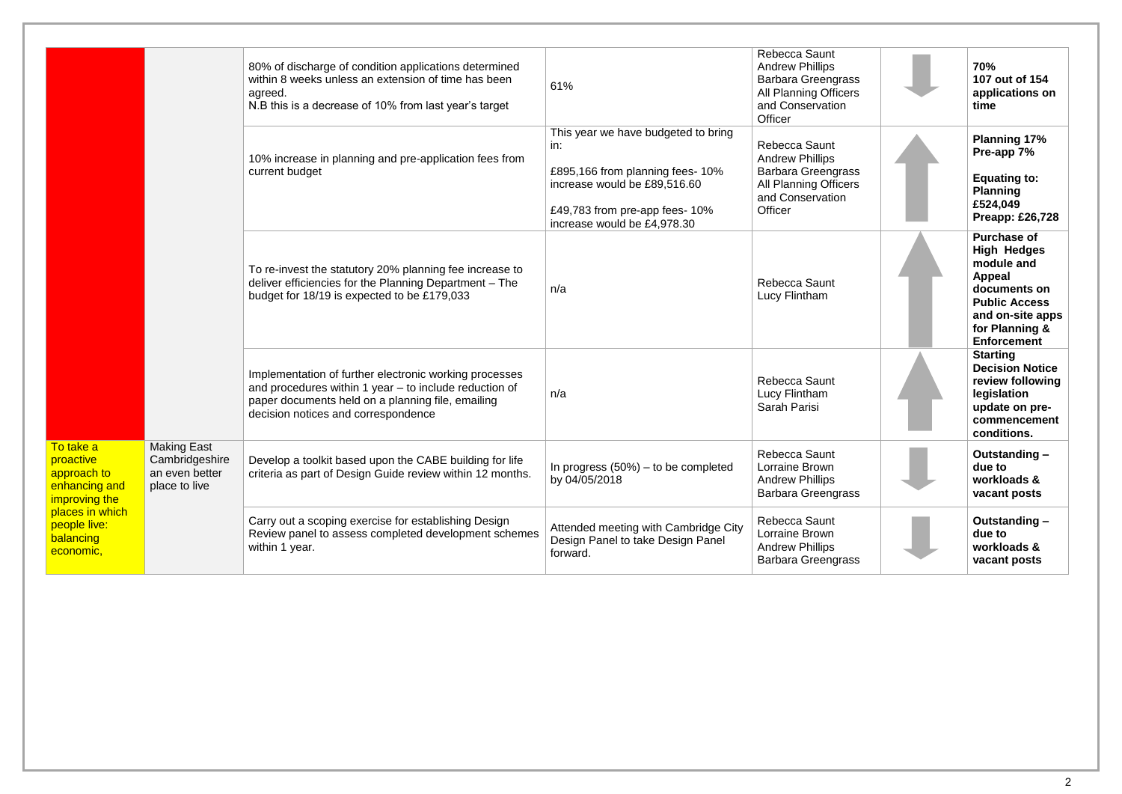| To take a<br>proactive<br>approach to<br>enhancing and<br>improving the<br>places in which<br>people live:<br>balancing<br>economic, |                                                                         | 80% of discharge of condition applications determined<br>within 8 weeks unless an extension of time has been<br>agreed.<br>N.B this is a decrease of 10% from last year's target                             | 61%                                                                                                                                                                            | Rebecca Saunt<br><b>Andrew Phillips</b><br><b>Barbara Greengrass</b><br><b>All Planning Officers</b><br>and Conservation<br>Officer | 70%<br>107 out of 154<br>applications on<br>time                                                                                                                     |
|--------------------------------------------------------------------------------------------------------------------------------------|-------------------------------------------------------------------------|--------------------------------------------------------------------------------------------------------------------------------------------------------------------------------------------------------------|--------------------------------------------------------------------------------------------------------------------------------------------------------------------------------|-------------------------------------------------------------------------------------------------------------------------------------|----------------------------------------------------------------------------------------------------------------------------------------------------------------------|
|                                                                                                                                      |                                                                         | 10% increase in planning and pre-application fees from<br>current budget                                                                                                                                     | This year we have budgeted to bring<br>in:<br>£895,166 from planning fees-10%<br>increase would be £89,516.60<br>£49,783 from pre-app fees- 10%<br>increase would be £4,978.30 | Rebecca Saunt<br><b>Andrew Phillips</b><br><b>Barbara Greengrass</b><br>All Planning Officers<br>and Conservation<br>Officer        | <b>Planning 17%</b><br>Pre-app 7%<br><b>Equating to:</b><br><b>Planning</b><br>£524,049<br><b>Preapp: £26,728</b>                                                    |
|                                                                                                                                      |                                                                         | To re-invest the statutory 20% planning fee increase to<br>deliver efficiencies for the Planning Department - The<br>budget for 18/19 is expected to be £179,033                                             | n/a                                                                                                                                                                            | <b>Rebecca Saunt</b><br>Lucy Flintham                                                                                               | <b>Purchase of</b><br><b>High Hedges</b><br>module and<br>Appeal<br>documents on<br><b>Public Access</b><br>and on-site apps<br>for Planning &<br><b>Enforcement</b> |
|                                                                                                                                      |                                                                         | Implementation of further electronic working processes<br>and procedures within 1 year - to include reduction of<br>paper documents held on a planning file, emailing<br>decision notices and correspondence | n/a                                                                                                                                                                            | Rebecca Saunt<br>Lucy Flintham<br>Sarah Parisi                                                                                      | <b>Starting</b><br><b>Decision Notice</b><br>review following<br>legislation<br>update on pre-<br>commencement<br>conditions.                                        |
|                                                                                                                                      | <b>Making East</b><br>Cambridgeshire<br>an even better<br>place to live | Develop a toolkit based upon the CABE building for life<br>criteria as part of Design Guide review within 12 months.                                                                                         | In progress $(50\%)$ – to be completed<br>by 04/05/2018                                                                                                                        | Rebecca Saunt<br>Lorraine Brown<br><b>Andrew Phillips</b><br><b>Barbara Greengrass</b>                                              | Outstanding -<br>due to<br>workloads &<br>vacant posts                                                                                                               |
|                                                                                                                                      |                                                                         | Carry out a scoping exercise for establishing Design<br>Review panel to assess completed development schemes<br>within 1 year.                                                                               | Attended meeting with Cambridge City<br>Design Panel to take Design Panel<br>forward.                                                                                          | Rebecca Saunt<br>Lorraine Brown<br><b>Andrew Phillips</b><br><b>Barbara Greengrass</b>                                              | Outstanding-<br>due to<br>workloads &<br>vacant posts                                                                                                                |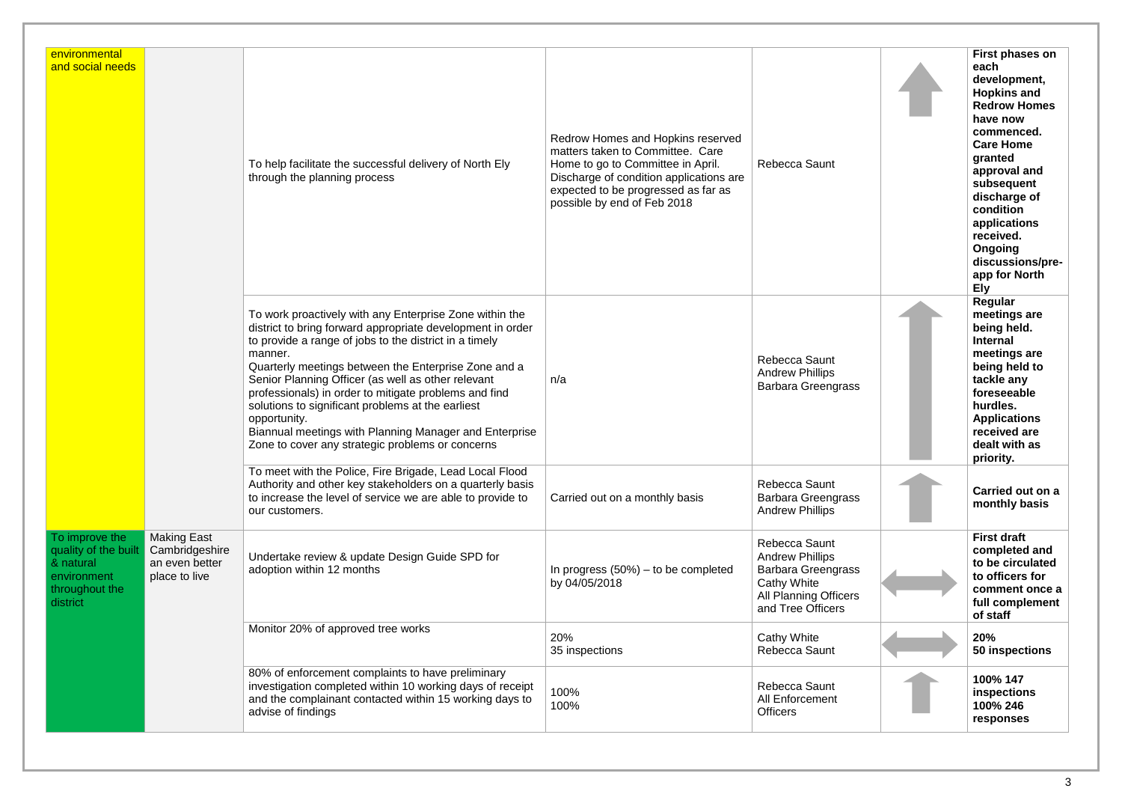| environmental<br>and social needs                                                                |                                                                         | To help facilitate the successful delivery of North Ely<br>through the planning process                                                                                                                                                                                                                                                                                                                                                                                                                                                              | Redrow Homes and Hopkins reserved<br>matters taken to Committee. Care<br>Home to go to Committee in April.<br>Discharge of condition applications are<br>expected to be progressed as far as<br>possible by end of Feb 2018 | Rebecca Saunt                                                                                                                                   | First phases on<br>each<br>development,<br><b>Hopkins and</b><br><b>Redrow Homes</b><br>have now<br>commenced.<br><b>Care Home</b><br>granted<br>approval and<br>subsequent<br>discharge of<br>condition<br>applications<br>received.<br>Ongoing<br>discussions/pre-<br>app for North<br><b>Ely</b> |
|--------------------------------------------------------------------------------------------------|-------------------------------------------------------------------------|------------------------------------------------------------------------------------------------------------------------------------------------------------------------------------------------------------------------------------------------------------------------------------------------------------------------------------------------------------------------------------------------------------------------------------------------------------------------------------------------------------------------------------------------------|-----------------------------------------------------------------------------------------------------------------------------------------------------------------------------------------------------------------------------|-------------------------------------------------------------------------------------------------------------------------------------------------|-----------------------------------------------------------------------------------------------------------------------------------------------------------------------------------------------------------------------------------------------------------------------------------------------------|
|                                                                                                  |                                                                         | To work proactively with any Enterprise Zone within the<br>district to bring forward appropriate development in order<br>to provide a range of jobs to the district in a timely<br>manner.<br>Quarterly meetings between the Enterprise Zone and a<br>Senior Planning Officer (as well as other relevant<br>professionals) in order to mitigate problems and find<br>solutions to significant problems at the earliest<br>opportunity.<br>Biannual meetings with Planning Manager and Enterprise<br>Zone to cover any strategic problems or concerns | n/a                                                                                                                                                                                                                         | Rebecca Saunt<br><b>Andrew Phillips</b><br><b>Barbara Greengrass</b>                                                                            | Regular<br>meetings are<br>being held.<br><b>Internal</b><br>meetings are<br>being held to<br>tackle any<br>foreseeable<br>hurdles.<br><b>Applications</b><br>received are<br>dealt with as<br>priority.                                                                                            |
|                                                                                                  |                                                                         | To meet with the Police, Fire Brigade, Lead Local Flood<br>Authority and other key stakeholders on a quarterly basis<br>to increase the level of service we are able to provide to<br>our customers.                                                                                                                                                                                                                                                                                                                                                 | Carried out on a monthly basis                                                                                                                                                                                              | <b>Rebecca Saunt</b><br><b>Barbara Greengrass</b><br><b>Andrew Phillips</b>                                                                     | Carried out on a<br>monthly basis                                                                                                                                                                                                                                                                   |
| To improve the<br>quality of the built<br>& natural<br>environment<br>throughout the<br>district | <b>Making East</b><br>Cambridgeshire<br>an even better<br>place to live | Undertake review & update Design Guide SPD for<br>adoption within 12 months                                                                                                                                                                                                                                                                                                                                                                                                                                                                          | In progress $(50\%)$ – to be completed<br>by 04/05/2018                                                                                                                                                                     | Rebecca Saunt<br><b>Andrew Phillips</b><br><b>Barbara Greengrass</b><br><b>Cathy White</b><br><b>All Planning Officers</b><br>and Tree Officers | <b>First draft</b><br>completed and<br>to be circulated<br>to officers for<br>comment once a<br>full complement<br>of staff                                                                                                                                                                         |
|                                                                                                  |                                                                         | Monitor 20% of approved tree works                                                                                                                                                                                                                                                                                                                                                                                                                                                                                                                   | 20%<br>35 inspections                                                                                                                                                                                                       | Cathy White<br>Rebecca Saunt                                                                                                                    | 20%<br>50 inspections                                                                                                                                                                                                                                                                               |
|                                                                                                  |                                                                         | 80% of enforcement complaints to have preliminary<br>investigation completed within 10 working days of receipt<br>and the complainant contacted within 15 working days to<br>advise of findings                                                                                                                                                                                                                                                                                                                                                      | 100%<br>100%                                                                                                                                                                                                                | Rebecca Saunt<br>All Enforcement<br><b>Officers</b>                                                                                             | 100% 147<br>inspections<br>100% 246<br>responses                                                                                                                                                                                                                                                    |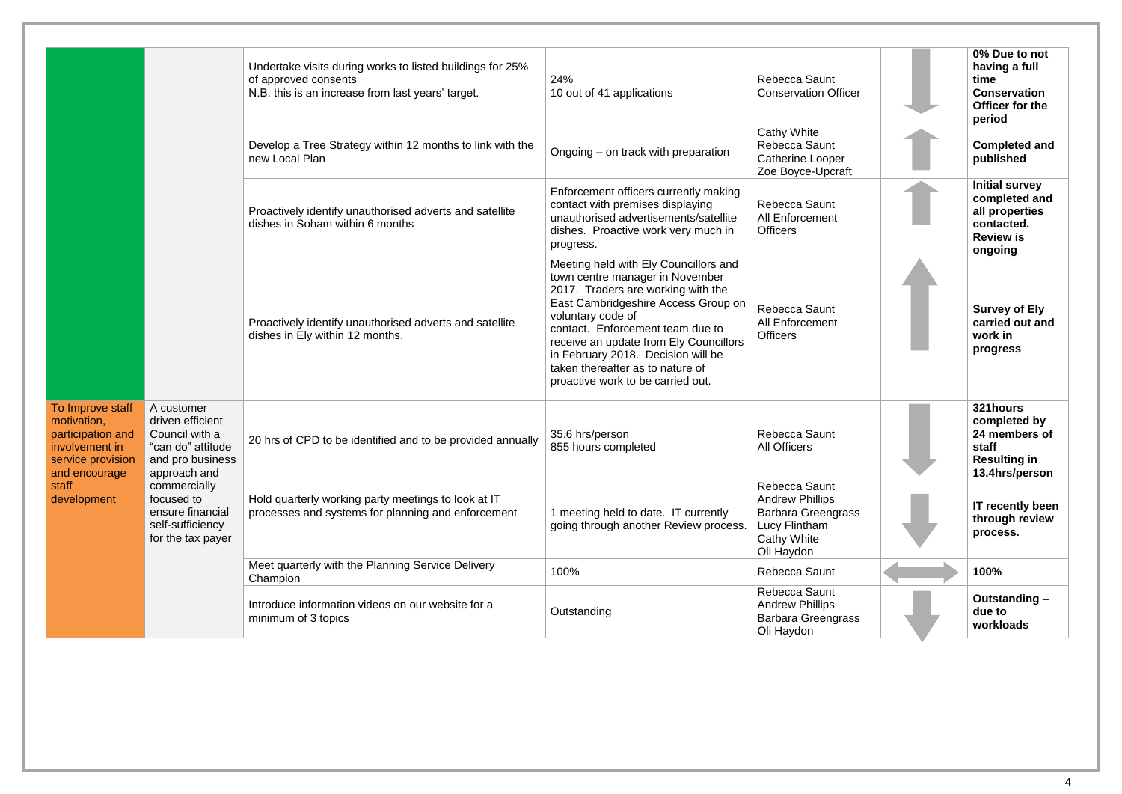| To Improve staff<br>motivation,<br>participation and<br>involvement in<br>service provision and pro business<br>and encourage<br>staff<br>development | A customer<br>driven efficient<br>Council with a<br>"can do" attitude<br>approach and<br>commercially<br>focused to<br>ensure financial<br>self-sufficiency<br>for the tax payer | Undertake visits during works to listed buildings for 25%<br>of approved consents<br>N.B. this is an increase from last years' target. | 24%<br>10 out of 41 applications                                                                                                                                                                                                                                                                                                                                        | Rebecca Saunt<br><b>Conservation Officer</b>                                                                              | 0% Due to not<br>having a full<br>time<br><b>Conservation</b><br>Officer for the<br>period            |
|-------------------------------------------------------------------------------------------------------------------------------------------------------|----------------------------------------------------------------------------------------------------------------------------------------------------------------------------------|----------------------------------------------------------------------------------------------------------------------------------------|-------------------------------------------------------------------------------------------------------------------------------------------------------------------------------------------------------------------------------------------------------------------------------------------------------------------------------------------------------------------------|---------------------------------------------------------------------------------------------------------------------------|-------------------------------------------------------------------------------------------------------|
|                                                                                                                                                       |                                                                                                                                                                                  | Develop a Tree Strategy within 12 months to link with the<br>new Local Plan                                                            | Ongoing – on track with preparation                                                                                                                                                                                                                                                                                                                                     | <b>Cathy White</b><br>Rebecca Saunt<br>Catherine Looper<br>Zoe Boyce-Upcraft                                              | <b>Completed and</b><br>published                                                                     |
|                                                                                                                                                       |                                                                                                                                                                                  | Proactively identify unauthorised adverts and satellite<br>dishes in Soham within 6 months                                             | Enforcement officers currently making<br>contact with premises displaying<br>unauthorised advertisements/satellite<br>dishes. Proactive work very much in<br>progress.                                                                                                                                                                                                  | Rebecca Saunt<br>All Enforcement<br><b>Officers</b>                                                                       | <b>Initial survey</b><br>completed and<br>all properties<br>contacted.<br><b>Review is</b><br>ongoing |
|                                                                                                                                                       |                                                                                                                                                                                  | Proactively identify unauthorised adverts and satellite<br>dishes in Ely within 12 months.                                             | Meeting held with Ely Councillors and<br>town centre manager in November<br>2017. Traders are working with the<br>East Cambridgeshire Access Group or<br>voluntary code of<br>contact. Enforcement team due to<br>receive an update from Ely Councillors<br>in February 2018. Decision will be<br>taken thereafter as to nature of<br>proactive work to be carried out. | Rebecca Saunt<br><b>All Enforcement</b><br><b>Officers</b>                                                                | <b>Survey of Ely</b><br>carried out and<br>work in<br>progress                                        |
|                                                                                                                                                       |                                                                                                                                                                                  | 20 hrs of CPD to be identified and to be provided annually                                                                             | 35.6 hrs/person<br>855 hours completed                                                                                                                                                                                                                                                                                                                                  | Rebecca Saunt<br><b>All Officers</b>                                                                                      | 321hours<br>completed by<br>24 members of<br>staff<br><b>Resulting in</b><br>13.4hrs/person           |
|                                                                                                                                                       |                                                                                                                                                                                  | Hold quarterly working party meetings to look at IT<br>processes and systems for planning and enforcement                              | 1 meeting held to date. IT currently<br>going through another Review process.                                                                                                                                                                                                                                                                                           | Rebecca Saunt<br><b>Andrew Phillips</b><br><b>Barbara Greengrass</b><br>Lucy Flintham<br><b>Cathy White</b><br>Oli Haydon | <b>IT recently been</b><br>through review<br>process.                                                 |
|                                                                                                                                                       |                                                                                                                                                                                  | Meet quarterly with the Planning Service Delivery<br>Champion                                                                          | 100%                                                                                                                                                                                                                                                                                                                                                                    | Rebecca Saunt                                                                                                             | 100%                                                                                                  |
|                                                                                                                                                       |                                                                                                                                                                                  | Introduce information videos on our website for a<br>minimum of 3 topics                                                               | Outstanding                                                                                                                                                                                                                                                                                                                                                             | Rebecca Saunt<br><b>Andrew Phillips</b><br><b>Barbara Greengrass</b><br>Oli Haydon                                        | Outstanding -<br>due to<br>workloads                                                                  |